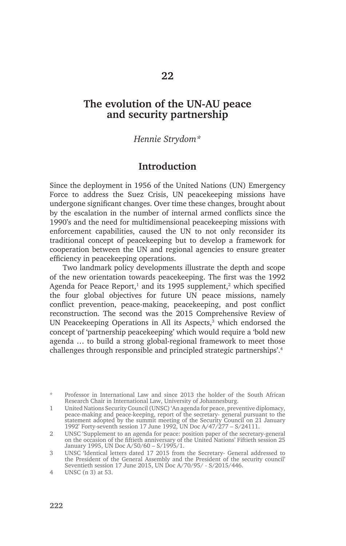# **The evolution of the UN-AU peace and security partnership**

#### *Hennie Strydom\**

### **Introduction**

Since the deployment in 1956 of the United Nations (UN) Emergency Force to address the Suez Crisis, UN peacekeeping missions have undergone significant changes. Over time these changes, brought about by the escalation in the number of internal armed conflicts since the 1990's and the need for multidimensional peacekeeping missions with enforcement capabilities, caused the UN to not only reconsider its traditional concept of peacekeeping but to develop a framework for cooperation between the UN and regional agencies to ensure greater efficiency in peacekeeping operations.

Two landmark policy developments illustrate the depth and scope of the new orientation towards peacekeeping. The first was the 1992 Agenda for Peace Report,<sup>1</sup> and its 1995 supplement,<sup>2</sup> which specified the four global objectives for future UN peace missions, namely conflict prevention, peace-making, peacekeeping, and post conflict reconstruction. The second was the 2015 Comprehensive Review of UN Peacekeeping Operations in All its Aspects, $3$  which endorsed the concept of 'partnership peacekeeping' which would require a 'bold new agenda … to build a strong global-regional framework to meet those challenges through responsible and principled strategic partnerships'.<sup>4</sup>

Professor in International Law and since 2013 the holder of the South African Research Chair in International Law, University of Johannesburg.

<sup>1</sup> United Nations Security Council (UNSC) 'An agenda for peace, preventive diplomacy, peace-making and peace-keeping, report of the secretary- general pursuant to the statement adopted by the summit meeting of the Security Council on 21 January 1992' Forty-seventh session 17 June 1992, UN Doc A/47/277 – S/24111.

<sup>2</sup> UNSC 'Supplement to an agenda for peace: position paper of the secretary-general on the occasion of the fiftieth anniversary of the United Nations' Fiftieth session 25 January 1995, UN Doc A/50/60 – S/1995/1.

<sup>3</sup> UNSC 'Identical letters dated 17 2015 from the Secretary- General addressed to the President of the General Assembly and the President of the security council' Seventieth session 17 June 2015, UN Doc A/70/95/ - S/2015/446.

<sup>4</sup> UNSC (n 3) at 53.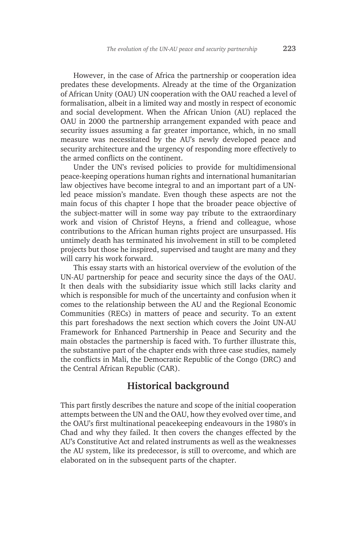However, in the case of Africa the partnership or cooperation idea predates these developments. Already at the time of the Organization of African Unity (OAU) UN cooperation with the OAU reached a level of formalisation, albeit in a limited way and mostly in respect of economic and social development. When the African Union (AU) replaced the OAU in 2000 the partnership arrangement expanded with peace and security issues assuming a far greater importance, which, in no small measure was necessitated by the AU's newly developed peace and security architecture and the urgency of responding more effectively to the armed conflicts on the continent.

Under the UN's revised policies to provide for multidimensional peace-keeping operations human rights and international humanitarian law objectives have become integral to and an important part of a UNled peace mission's mandate. Even though these aspects are not the main focus of this chapter I hope that the broader peace objective of the subject-matter will in some way pay tribute to the extraordinary work and vision of Christof Heyns, a friend and colleague, whose contributions to the African human rights project are unsurpassed. His untimely death has terminated his involvement in still to be completed projects but those he inspired, supervised and taught are many and they will carry his work forward.

This essay starts with an historical overview of the evolution of the UN-AU partnership for peace and security since the days of the OAU. It then deals with the subsidiarity issue which still lacks clarity and which is responsible for much of the uncertainty and confusion when it comes to the relationship between the AU and the Regional Economic Communities (RECs) in matters of peace and security. To an extent this part foreshadows the next section which covers the Joint UN-AU Framework for Enhanced Partnership in Peace and Security and the main obstacles the partnership is faced with. To further illustrate this, the substantive part of the chapter ends with three case studies, namely the conflicts in Mali, the Democratic Republic of the Congo (DRC) and the Central African Republic (CAR).

## **Historical background**

This part firstly describes the nature and scope of the initial cooperation attempts between the UN and the OAU, how they evolved over time, and the OAU's first multinational peacekeeping endeavours in the 1980's in Chad and why they failed. It then covers the changes effected by the AU's Constitutive Act and related instruments as well as the weaknesses the AU system, like its predecessor, is still to overcome, and which are elaborated on in the subsequent parts of the chapter.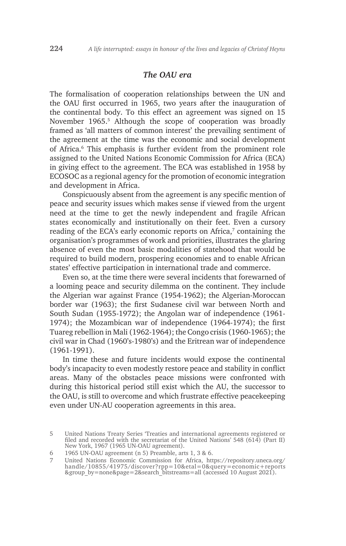#### *The OAU era*

The formalisation of cooperation relationships between the UN and the OAU first occurred in 1965, two years after the inauguration of the continental body. To this effect an agreement was signed on 15 November 1965.<sup>5</sup> Although the scope of cooperation was broadly framed as 'all matters of common interest' the prevailing sentiment of the agreement at the time was the economic and social development of Africa.<sup>6</sup> This emphasis is further evident from the prominent role assigned to the United Nations Economic Commission for Africa (ECA) in giving effect to the agreement. The ECA was established in 1958 by ECOSOC as a regional agency for the promotion of economic integration and development in Africa.

Conspicuously absent from the agreement is any specific mention of peace and security issues which makes sense if viewed from the urgent need at the time to get the newly independent and fragile African states economically and institutionally on their feet. Even a cursory reading of the ECA's early economic reports on Africa, $7$  containing the organisation's programmes of work and priorities, illustrates the glaring absence of even the most basic modalities of statehood that would be required to build modern, prospering economies and to enable African states' effective participation in international trade and commerce.

Even so, at the time there were several incidents that forewarned of a looming peace and security dilemma on the continent. They include the Algerian war against France (1954-1962); the Algerian-Moroccan border war (1963); the first Sudanese civil war between North and South Sudan (1955-1972); the Angolan war of independence (1961- 1974); the Mozambican war of independence (1964-1974); the first Tuareg rebellion in Mali (1962-1964); the Congo crisis (1960-1965); the civil war in Chad (1960's-1980's) and the Eritrean war of independence (1961-1991).

In time these and future incidents would expose the continental body's incapacity to even modestly restore peace and stability in conflict areas. Many of the obstacles peace missions were confronted with during this historical period still exist which the AU, the successor to the OAU, is still to overcome and which frustrate effective peacekeeping even under UN-AU cooperation agreements in this area.

6 1965 UN-OAU agreement (n 5) Preamble, arts 1, 3 & 6.

<sup>5</sup> United Nations Treaty Series 'Treaties and international agreements registered or filed and recorded with the secretariat of the United Nations' 548 (614) (Part II) New York, 1967 (1965 UN-OAU agreement).

<sup>7</sup> United Nations Economic Commission for Africa, https://repository.uneca.org/ handle/10855/41975/discover?rpp=10&etal=0&query=economic+reports &group\_by=none&page=2&search\_bitstreams=all (accessed 10 August 2021).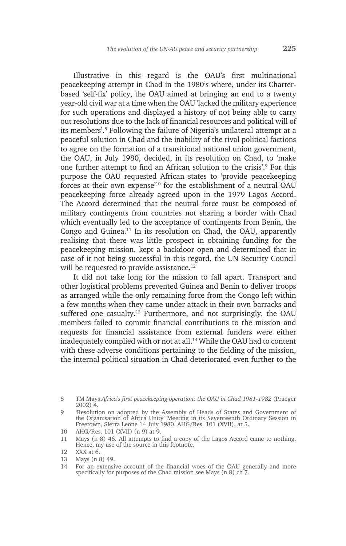Illustrative in this regard is the OAU's first multinational peacekeeping attempt in Chad in the 1980's where, under its Charterbased 'self-fix' policy, the OAU aimed at bringing an end to a twenty year-old civil war at a time when the OAU 'lacked the military experience for such operations and displayed a history of not being able to carry out resolutions due to the lack of financial resources and political will of its members'.8 Following the failure of Nigeria's unilateral attempt at a peaceful solution in Chad and the inability of the rival political factions to agree on the formation of a transitional national union government, the OAU, in July 1980, decided, in its resolution on Chad, to 'make one further attempt to find an African solution to the crisis'.<sup>9</sup> For this purpose the OAU requested African states to 'provide peacekeeping forces at their own expense'10 for the establishment of a neutral OAU peacekeeping force already agreed upon in the 1979 Lagos Accord. The Accord determined that the neutral force must be composed of military contingents from countries not sharing a border with Chad which eventually led to the acceptance of contingents from Benin, the Congo and Guinea.11 In its resolution on Chad, the OAU, apparently realising that there was little prospect in obtaining funding for the peacekeeping mission, kept a backdoor open and determined that in case of it not being successful in this regard, the UN Security Council will be requested to provide assistance.<sup>12</sup>

It did not take long for the mission to fall apart. Transport and other logistical problems prevented Guinea and Benin to deliver troops as arranged while the only remaining force from the Congo left within a few months when they came under attack in their own barracks and suffered one casualty.<sup>13</sup> Furthermore, and not surprisingly, the OAU members failed to commit financial contributions to the mission and requests for financial assistance from external funders were either inadequately complied with or not at all.<sup>14</sup> While the OAU had to content with these adverse conditions pertaining to the fielding of the mission, the internal political situation in Chad deteriorated even further to the

<sup>8</sup> TM Mays *Africa's first peacekeeping operation: the OAU in Chad 1981-1982* (Praeger 2002) 4.

<sup>9</sup> 'Resolution on adopted by the Assembly of Heads of States and Government of the Organisation of Africa Unity' Meeting in its Seventeenth Ordinary Session in Freetown, Sierra Leone 14 July 1980. AHG/Res. 101 (XVII), at 5.

<sup>10</sup> AHG/Res. 101 (XVII) (n 9) at 9.

<sup>11</sup> Mays (n 8) 46. All attempts to find a copy of the Lagos Accord came to nothing. Hence, my use of the source in this footnote.

<sup>12</sup> XXX at 6.

<sup>13</sup> Mays (n 8) 49.

<sup>14</sup> For an extensive account of the financial woes of the OAU generally and more specifically for purposes of the Chad mission see Mays (n 8) ch 7.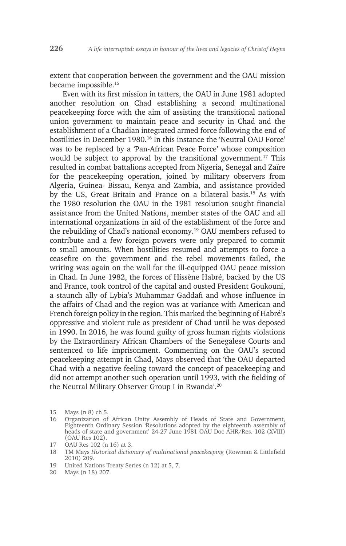extent that cooperation between the government and the OAU mission became impossible.<sup>15</sup>

Even with its first mission in tatters, the OAU in June 1981 adopted another resolution on Chad establishing a second multinational peacekeeping force with the aim of assisting the transitional national union government to maintain peace and security in Chad and the establishment of a Chadian integrated armed force following the end of hostilities in December 1980.<sup>16</sup> In this instance the 'Neutral OAU Force' was to be replaced by a 'Pan-African Peace Force' whose composition would be subject to approval by the transitional government.17 This resulted in combat battalions accepted from Nigeria, Senegal and Zaïre for the peacekeeping operation, joined by military observers from Algeria, Guinea- Bissau, Kenya and Zambia, and assistance provided by the US, Great Britain and France on a bilateral basis.<sup>18</sup> As with the 1980 resolution the OAU in the 1981 resolution sought financial assistance from the United Nations, member states of the OAU and all international organizations in aid of the establishment of the force and the rebuilding of Chad's national economy.19 OAU members refused to contribute and a few foreign powers were only prepared to commit to small amounts. When hostilities resumed and attempts to force a ceasefire on the government and the rebel movements failed, the writing was again on the wall for the ill-equipped OAU peace mission in Chad. In June 1982, the forces of Hissène Habré, backed by the US and France, took control of the capital and ousted President Goukouni, a staunch ally of Lybia's Muhammar Gaddafi and whose influence in the affairs of Chad and the region was at variance with American and French foreign policy in the region. This marked the beginning of Habré's oppressive and violent rule as president of Chad until he was deposed in 1990. In 2016, he was found guilty of gross human rights violations by the Extraordinary African Chambers of the Senegalese Courts and sentenced to life imprisonment. Commenting on the OAU's second peacekeeping attempt in Chad, Mays observed that 'the OAU departed Chad with a negative feeling toward the concept of peacekeeping and did not attempt another such operation until 1993, with the fielding of the Neutral Military Observer Group I in Rwanda'.<sup>20</sup>

<sup>15</sup> Mays (n 8) ch 5.

<sup>16</sup> Organization of African Unity Assembly of Heads of State and Government, Eighteenth Ordinary Session 'Resolutions adopted by the eighteenth assembly of heads of state and government' 24-27 June 1981 OAU Doc AHR/Res. 102 (XVIII) (OAU Res 102).

<sup>17</sup> OAU Res 102 (n 16) at 3.

<sup>18</sup> TM Mays *Historical dictionary of multinational peacekeeping* (Rowman & Littlefield 2010) 209.

<sup>19</sup> United Nations Treaty Series (n 12) at 5, 7.

<sup>20</sup> Mays (n 18) 207.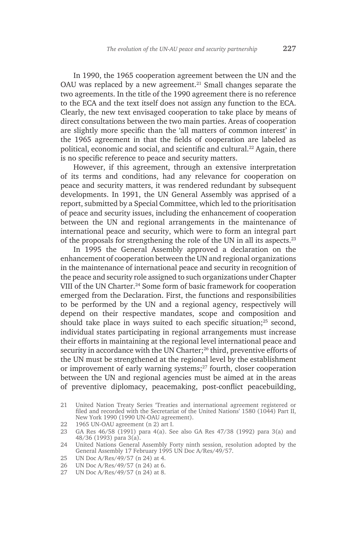In 1990, the 1965 cooperation agreement between the UN and the OAU was replaced by a new agreement.<sup>21</sup> Small changes separate the two agreements. In the title of the 1990 agreement there is no reference to the ECA and the text itself does not assign any function to the ECA. Clearly, the new text envisaged cooperation to take place by means of direct consultations between the two main parties. Areas of cooperation are slightly more specific than the 'all matters of common interest' in the 1965 agreement in that the fields of cooperation are labeled as political, economic and social, and scientific and cultural.<sup>22</sup> Again, there is no specific reference to peace and security matters.

However, if this agreement, through an extensive interpretation of its terms and conditions, had any relevance for cooperation on peace and security matters, it was rendered redundant by subsequent developments. In 1991, the UN General Assembly was apprised of a report, submitted by a Special Committee, which led to the prioritisation of peace and security issues, including the enhancement of cooperation between the UN and regional arrangements in the maintenance of international peace and security, which were to form an integral part of the proposals for strengthening the role of the UN in all its aspects.23

In 1995 the General Assembly approved a declaration on the enhancement of cooperation between the UN and regional organizations in the maintenance of international peace and security in recognition of the peace and security role assigned to such organizations under Chapter VIII of the UN Charter.<sup>24</sup> Some form of basic framework for cooperation emerged from the Declaration. First, the functions and responsibilities to be performed by the UN and a regional agency, respectively will depend on their respective mandates, scope and composition and should take place in ways suited to each specific situation;<sup>25</sup> second, individual states participating in regional arrangements must increase their efforts in maintaining at the regional level international peace and security in accordance with the UN Charter;<sup>26</sup> third, preventive efforts of the UN must be strengthened at the regional level by the establishment or improvement of early warning systems;<sup>27</sup> fourth, closer cooperation between the UN and regional agencies must be aimed at in the areas of preventive diplomacy, peacemaking, post-conflict peacebuilding,

- 22 1965 UN-OAU agreement (n 2) art I.
- 23 GA Res 46/58 (1991) para 4(a). See also GA Res 47/38 (1992) para 3(a) and 48/36 (1993) para 3(a).

- 26 UN Doc A/Res/49/57 (n 24) at 6.<br>27 UN Doc A/Res/49/57 (n 24) at 8.
- UN Doc A/Res/49/57 (n 24) at 8.

<sup>21</sup> United Nation Treaty Series 'Treaties and international agreement registered or filed and recorded with the Secretariat of the United Nations' 1580 (1044) Part II, New York 1990 (1990 UN-OAU agreement).

<sup>24</sup> United Nations General Assembly Forty ninth session, resolution adopted by the General Assembly 17 February 1995 UN Doc A/Res/49/57.

<sup>25</sup> UN Doc A/Res/49/57 (n 24) at 4.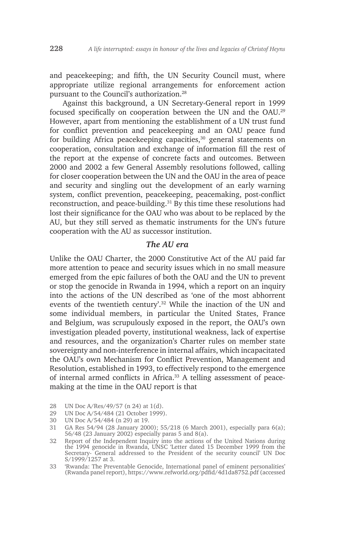and peacekeeping; and fifth, the UN Security Council must, where appropriate utilize regional arrangements for enforcement action pursuant to the Council's authorization.28

Against this background, a UN Secretary-General report in 1999 focused specifically on cooperation between the UN and the OAU.29 However, apart from mentioning the establishment of a UN trust fund for conflict prevention and peacekeeping and an OAU peace fund for building Africa peacekeeping capacities,<sup>30</sup> general statements on cooperation, consultation and exchange of information fill the rest of the report at the expense of concrete facts and outcomes. Between 2000 and 2002 a few General Assembly resolutions followed, calling for closer cooperation between the UN and the OAU in the area of peace and security and singling out the development of an early warning system, conflict prevention, peacekeeping, peacemaking, post-conflict reconstruction, and peace-building.31 By this time these resolutions had lost their significance for the OAU who was about to be replaced by the AU, but they still served as thematic instruments for the UN's future cooperation with the AU as successor institution.

#### *The AU era*

Unlike the OAU Charter, the 2000 Constitutive Act of the AU paid far more attention to peace and security issues which in no small measure emerged from the epic failures of both the OAU and the UN to prevent or stop the genocide in Rwanda in 1994, which a report on an inquiry into the actions of the UN described as 'one of the most abhorrent events of the twentieth century'.<sup>32</sup> While the inaction of the UN and some individual members, in particular the United States, France and Belgium, was scrupulously exposed in the report, the OAU's own investigation pleaded poverty, institutional weakness, lack of expertise and resources, and the organization's Charter rules on member state sovereignty and non-interference in internal affairs, which incapacitated the OAU's own Mechanism for Conflict Prevention, Management and Resolution, established in 1993, to effectively respond to the emergence of internal armed conflicts in Africa.<sup>33</sup> A telling assessment of peacemaking at the time in the OAU report is that

- 28 UN Doc A/Res/49/57 (n 24) at 1(d).
- 29 UN Doc A/54/484 (21 October 1999).
- 30 UN Doc A/54/484 (n 29) at 19.
- 31 GA Res 54/94 (28 January 2000); 55/218 (6 March 2001), especially para 6(a); 56/48 (23 January 2002) especially paras 5 and 8(a).
- 32 Report of the Independent Inquiry into the actions of the United Nations during the 1994 genocide in Rwanda, UNSC 'Letter dated 15 December 1999 from the Secretary- General addressed to the President of the security council' UN Doc S/1999/1257 at 3.
- 33 'Rwanda: The Preventable Genocide, International panel of eminent personalities' (Rwanda panel report), https://www.refworld.org/pdfid/4d1da8752.pdf (accessed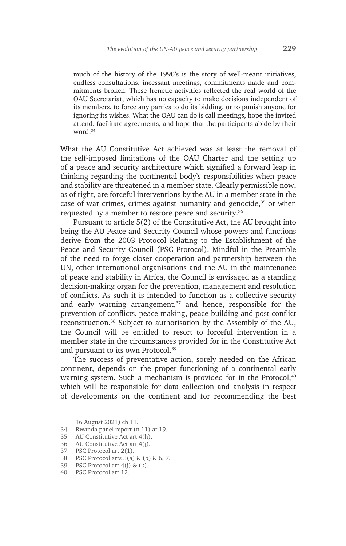much of the history of the 1990's is the story of well-meant initiatives, endless consultations, incessant meetings, commitments made and commitments broken. These frenetic activities reflected the real world of the OAU Secretariat, which has no capacity to make decisions independent of its members, to force any parties to do its bidding, or to punish anyone for ignoring its wishes. What the OAU can do is call meetings, hope the invited attend, facilitate agreements, and hope that the participants abide by their word.<sup>34</sup>

What the AU Constitutive Act achieved was at least the removal of the self-imposed limitations of the OAU Charter and the setting up of a peace and security architecture which signified a forward leap in thinking regarding the continental body's responsibilities when peace and stability are threatened in a member state. Clearly permissible now, as of right, are forceful interventions by the AU in a member state in the case of war crimes, crimes against humanity and genocide,<sup>35</sup> or when requested by a member to restore peace and security.<sup>36</sup>

Pursuant to article 5(2) of the Constitutive Act, the AU brought into being the AU Peace and Security Council whose powers and functions derive from the 2003 Protocol Relating to the Establishment of the Peace and Security Council (PSC Protocol). Mindful in the Preamble of the need to forge closer cooperation and partnership between the UN, other international organisations and the AU in the maintenance of peace and stability in Africa, the Council is envisaged as a standing decision-making organ for the prevention, management and resolution of conflicts. As such it is intended to function as a collective security and early warning arrangement, $37$  and hence, responsible for the prevention of conflicts, peace-making, peace-building and post-conflict reconstruction.38 Subject to authorisation by the Assembly of the AU, the Council will be entitled to resort to forceful intervention in a member state in the circumstances provided for in the Constitutive Act and pursuant to its own Protocol.<sup>39</sup>

The success of preventative action, sorely needed on the African continent, depends on the proper functioning of a continental early warning system. Such a mechanism is provided for in the Protocol,<sup>40</sup> which will be responsible for data collection and analysis in respect of developments on the continent and for recommending the best

16 August 2021) ch 11.

- 34 Rwanda panel report (n 11) at 19.
- 35 AU Constitutive Act art 4(h).
- 36 AU Constitutive Act art 4(j).
- 37 PSC Protocol art 2(1).
- 38 PSC Protocol arts 3(a) & (b) & 6, 7.
- 39 PSC Protocol art 4(j) & (k).
- 40 PSC Protocol art 12.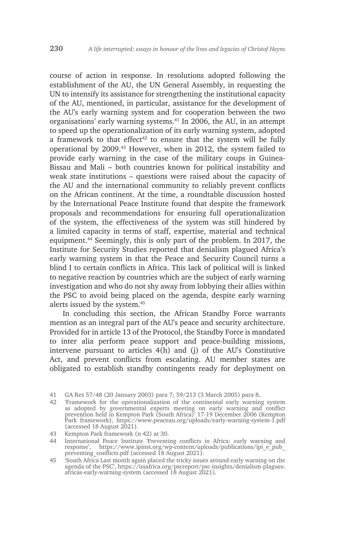course of action in response. In resolutions adopted following the establishment of the AU, the UN General Assembly, in requesting the UN to intensify its assistance for strengthening the institutional capacity of the AU, mentioned, in particular, assistance for the development of the AU's early warning system and for cooperation between the two organisations' early warning systems.41 In 2006, the AU, in an attempt to speed up the operationalization of its early warning system, adopted a framework to that effect<sup>42</sup> to ensure that the system will be fully operational by 2009.43 However, when in 2012, the system failed to provide early warning in the case of the military coups in Guinea-Bissau and Mali – both countries known for political instability and weak state institutions – questions were raised about the capacity of the AU and the international community to reliably prevent conflicts on the African continent. At the time, a roundtable discussion hosted by the International Peace Institute found that despite the framework proposals and recommendations for ensuring full operationalization of the system, the effectiveness of the system was still hindered by a limited capacity in terms of staff, expertise, material and technical equipment.44 Seemingly, this is only part of the problem. In 2017, the Institute for Security Studies reported that denialism plagued Africa's early warning system in that the Peace and Security Council turns a blind I to certain conflicts in Africa. This lack of political will is linked to negative reaction by countries which are the subject of early warning investigation and who do not shy away from lobbying their allies within the PSC to avoid being placed on the agenda, despite early warning alerts issued by the system.<sup>45</sup>

In concluding this section, the African Standby Force warrants mention as an integral part of the AU's peace and security architecture. Provided for in article 13 of the Protocol, the Standby Force is mandated to inter alia perform peace support and peace-building missions, intervene pursuant to articles 4(h) and (j) of the AU's Constitutive Act, and prevent conflicts from escalating. AU member states are obligated to establish standby contingents ready for deployment on

42 'Framework for the operationalization of the continental early warning system as adopted by governmental experts meeting on early warning and conflict prevention held in Kempton Park (South Africa)' 17-19 December 2006 (Kempton Park framework), https://www.peaceau.org/uploads/early-warning-system-1.pdf (accessed 18 August 2021).

44 International Peace Institute 'Preventing conflicts in Africa: early warning and response', https://www.ipinst.org/wp-content/uploads/publications/ipi\_e\_pub\_ preventing\_conflicts.pdf (accessed 18 August 2021).

<sup>41</sup> GA Res 57/48 (20 January 2003) para 7; 59/213 (3 March 2005) para 8.

<sup>43</sup> Kempton Park framework (n 42) at 30.

<sup>45</sup> 'South Africa Last month again placed the tricky issues around early warning on the agenda of the PSC', https://issafrica.org/pscreport/psc-insights/denialism-plaguesafricas-early-warning-system (accessed 18 August 2021).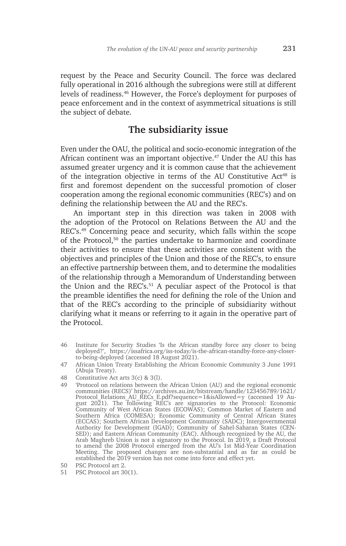request by the Peace and Security Council. The force was declared fully operational in 2016 although the subregions were still at different levels of readiness.46 However, the Force's deployment for purposes of peace enforcement and in the context of asymmetrical situations is still the subject of debate.

## **The subsidiarity issue**

Even under the OAU, the political and socio-economic integration of the African continent was an important objective.47 Under the AU this has assumed greater urgency and it is common cause that the achievement of the integration objective in terms of the AU Constitutive Act<sup>48</sup> is first and foremost dependent on the successful promotion of closer cooperation among the regional economic communities (REC's) and on defining the relationship between the AU and the REC's.

An important step in this direction was taken in 2008 with the adoption of the Protocol on Relations Between the AU and the REC's.49 Concerning peace and security, which falls within the scope of the Protocol,<sup>50</sup> the parties undertake to harmonize and coordinate their activities to ensure that these activities are consistent with the objectives and principles of the Union and those of the REC's, to ensure an effective partnership between them, and to determine the modalities of the relationship through a Memorandum of Understanding between the Union and the REC's.<sup>51</sup> A peculiar aspect of the Protocol is that the preamble identifies the need for defining the role of the Union and that of the REC's according to the principle of subsidiarity without clarifying what it means or referring to it again in the operative part of the Protocol.

<sup>46</sup> Institute for Security Studies 'Is the African standby force any closer to being deployed?', https://issafrica.org/iss-today/is-the-african-standby-force-any-closerto-being-deployed (accessed 18 August 2021).

<sup>47</sup> African Union Treaty Establishing the African Economic Community 3 June 1991 (Abuja Treaty).

<sup>48</sup> Constitutive Act arts 3(c) & 3(l).

<sup>49</sup> 'Protocol on relations between the African Union (AU) and the regional economic communities (RECS)' https://archives.au.int/bitstream/handle/123456789/1621/ Protocol\_Relations\_AU\_RECs\_E.pdf?sequence=1&isAllowed=y (accessed 19 August 2021). The following REC's are signatories to the Protocol: Economic Community of West African States (ECOWAS); Common Market of Eastern and Southern Africa (COMESA); Economic Community of Central African States (ECCAS); Southern African Development Community (SADC); Intergovernmental Authority for Development (IGAD); Community of Sahel-Saharan States (CEN-SED); and Eastern African Community (EAC). Although recognized by the AU, the Arab Maghreb Union is not a signatory to the Protocol. In 2019, a Draft Protocol to amend the 2008 Protocol emerged from the AU's 1st Mid-Year Coordination Meeting. The proposed changes are non-substantial and as far as could be established the 2019 version has not come into force and effect yet.

<sup>50</sup> PSC Protocol art 2.

<sup>51</sup> PSC Protocol art 30(1).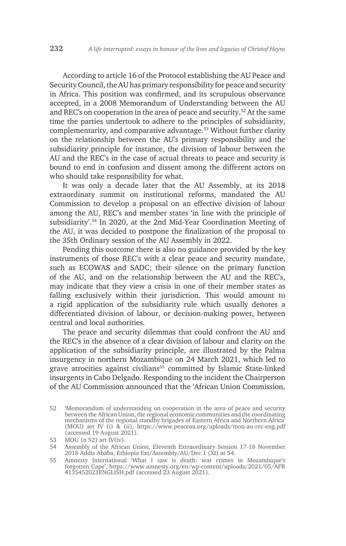According to article 16 of the Protocol establishing the AU Peace and Security Council, the AU has primary responsibility for peace and security in Africa. This position was confirmed, and its scrupulous observance accepted, in a 2008 Memorandum of Understanding between the AU and REC's on cooperation in the area of peace and security.52 At the same time the parties undertook to adhere to the principles of subsidiarity, complementarity, and comparative advantage.53 Without further clarity on the relationship between the AU's primary responsibility and the subsidiarity principle for instance, the division of labour between the AU and the REC's in the case of actual threats to peace and security is bound to end in confusion and dissent among the different actors on who should take responsibility for what.

It was only a decade later that the AU Assembly, at its 2018 extraordinary summit on institutional reforms, mandated the AU Commission to develop a proposal on an effective division of labour among the AU, REC's and member states 'in line with the principle of subsidiarity'.54 In 2020, at the 2nd Mid-Year Coordination Meeting of the AU, it was decided to postpone the finalization of the proposal to the 35th Ordinary session of the AU Assembly in 2022.

Pending this outcome there is also no guidance provided by the key instruments of those REC's with a clear peace and security mandate, such as ECOWAS and SADC; their silence on the primary function of the AU, and on the relationship between the AU and the REC's, may indicate that they view a crisis in one of their member states as falling exclusively within their jurisdiction. This would amount to a rigid application of the subsidiarity rule which usually denotes a differentiated division of labour, or decision-making power, between central and local authorities.

The peace and security dilemmas that could confront the AU and the REC's in the absence of a clear division of labour and clarity on the application of the subsidiarity principle, are illustrated by the Palma insurgency in northern Mozambique on 24 March 2021, which led to grave atrocities against civilians<sup>55</sup> committed by Islamic State-linked insurgents in Cabo Delgado. Responding to the incident the Chairperson of the AU Commission announced that the 'African Union Commission,

54 Assembly of the African Union, Eleventh Extraordinary Session 17-18 November 2018 Addis Ababa, Ethiopia Ext/Assembly/AU/Dec.1 (XI) at 54.

55 Amnesty International 'What I saw is death: war crimes in Mozambique's forgotten Cape', https://www.amnesty.org/en/wp-content/uploads/2021/05/AFR 4135452021ENGLISH.pdf (accessed 23 August 2021).

<sup>52</sup> 'Memorandum of understanding on cooperation in the area of peace and security between the African Union, the regional economic communities and the coordinating mechanisms of the regional standby brigades of Eastern Africa and Northern Africa' (MOU) art IV (i) & (ii), https://www.peaceau.org/uploads/mou-au-rec-eng.pdf (accessed 19 August 2021).

<sup>53</sup> MOU (n 52) art IV(iv).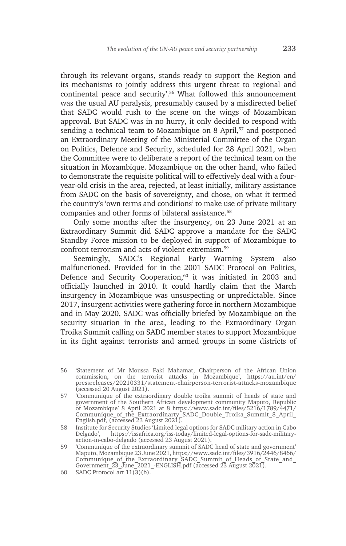through its relevant organs, stands ready to support the Region and its mechanisms to jointly address this urgent threat to regional and continental peace and security'.56 What followed this announcement was the usual AU paralysis, presumably caused by a misdirected belief that SADC would rush to the scene on the wings of Mozambican approval. But SADC was in no hurry, it only decided to respond with sending a technical team to Mozambique on 8 April,<sup>57</sup> and postponed an Extraordinary Meeting of the Ministerial Committee of the Organ on Politics, Defence and Security, scheduled for 28 April 2021, when the Committee were to deliberate a report of the technical team on the situation in Mozambique. Mozambique on the other hand, who failed to demonstrate the requisite political will to effectively deal with a fouryear-old crisis in the area, rejected, at least initially, military assistance from SADC on the basis of sovereignty, and chose, on what it termed the country's 'own terms and conditions' to make use of private military companies and other forms of bilateral assistance.<sup>58</sup>

Only some months after the insurgency, on 23 June 2021 at an Extraordinary Summit did SADC approve a mandate for the SADC Standby Force mission to be deployed in support of Mozambique to confront terrorism and acts of violent extremism.<sup>59</sup>

Seemingly, SADC's Regional Early Warning System also malfunctioned. Provided for in the 2001 SADC Protocol on Politics, Defence and Security Cooperation,<sup>60</sup> it was initiated in 2003 and officially launched in 2010. It could hardly claim that the March insurgency in Mozambique was unsuspecting or unpredictable. Since 2017, insurgent activities were gathering force in northern Mozambique and in May 2020, SADC was officially briefed by Mozambique on the security situation in the area, leading to the Extraordinary Organ Troika Summit calling on SADC member states to support Mozambique in its fight against terrorists and armed groups in some districts of

- 56 'Statement of Mr Moussa Faki Mahamat, Chairperson of the African Union commission, on the terrorist attacks in Mozambique', https://au.int/en/ pressreleases/20210331/statement-chairperson-terrorist-attacks-mozambique (accessed 20 August 2021).
- 57 'Communique of the extraordinary double troika summit of heads of state and government of the Southern African development community Maputo, Republic of Mozambique' 8 April 2021 at 8 https://www.sadc.int/files/5216/1789/4471/ Communique of the Extraordinarty SADC Double Troika Summit 8 April English.pdf, (accessed 23 August 2021).
- 58 Institute for Security Studies 'Limited legal options for SADC military action in Cabo Delgado', https://issafrica.org/iss-today/limited-legal-options-for-sadc-militaryaction-in-cabo-delgado (accessed 23 August 2021).
- 59 'Communique of the extraordinary summit of SADC head of state and government' Maputo, Mozambique 23 June 2021, https://www.sadc.int/files/3916/2446/8466/ Communique of the Extraordinary SADC Summit of Heads of State and Government 23 June<sup>-</sup>2021 -ENGLISH.pdf (accessed 23 August 2021).
- 60 SADC Protocol art 11(3)(b).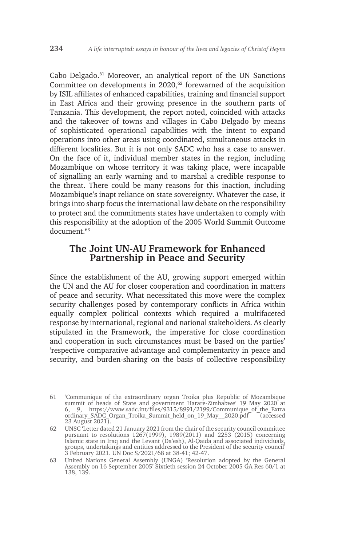Cabo Delgado.61 Moreover, an analytical report of the UN Sanctions Committee on developments in  $2020$ ,  $62$  forewarned of the acquisition by ISIL affiliates of enhanced capabilities, training and financial support in East Africa and their growing presence in the southern parts of Tanzania. This development, the report noted, coincided with attacks and the takeover of towns and villages in Cabo Delgado by means of sophisticated operational capabilities with the intent to expand operations into other areas using coordinated, simultaneous attacks in different localities. But it is not only SADC who has a case to answer. On the face of it, individual member states in the region, including Mozambique on whose territory it was taking place, were incapable of signalling an early warning and to marshal a credible response to the threat. There could be many reasons for this inaction, including Mozambique's inapt reliance on state sovereignty. Whatever the case, it brings into sharp focus the international law debate on the responsibility to protect and the commitments states have undertaken to comply with this responsibility at the adoption of the 2005 World Summit Outcome document.<sup>63</sup>

### **The Joint UN-AU Framework for Enhanced Partnership in Peace and Security**

Since the establishment of the AU, growing support emerged within the UN and the AU for closer cooperation and coordination in matters of peace and security. What necessitated this move were the complex security challenges posed by contemporary conflicts in Africa within equally complex political contexts which required a multifaceted response by international, regional and national stakeholders. As clearly stipulated in the Framework, the imperative for close coordination and cooperation in such circumstances must be based on the parties' 'respective comparative advantage and complementarity in peace and security, and burden-sharing on the basis of collective responsibility

<sup>61</sup> 'Communique of the extraordinary organ Troika plus Republic of Mozambique summit of heads of State and government Harare-Zimbabwe' 19 May 2020 at 6, 9, https://www.sadc.int/files/9315/8991/2199/Communique\_of\_the\_Extra ordinary SADC\_Organ\_Troika\_Summit\_held\_on\_19\_May\_\_2020.pdf <sup>--</sup> (accessed 23 August 2021).

<sup>62</sup> UNSC 'Letter dated 21 January 2021 from the chair of the security council committee pursuant to resolutions 1267(1999), 1989(2011) and 2253 (2015) concerning Islamic state in Iraq and the Levant (Da'esh), Al-Qaida and associated individuals, groups, undertakings and entities addressed to the President of the security council' 3 February 2021. UN Doc S/2021/68 at 38-41; 42-47.

<sup>63</sup> United Nations General Assembly (UNGA) 'Resolution adopted by the General Assembly on 16 September 2005' Sixtieth session 24 October 2005 GA Res 60/1 at 138, 139.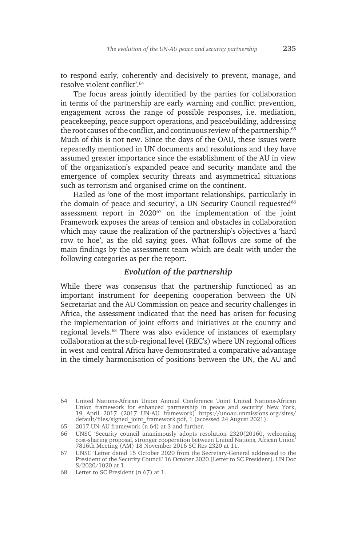to respond early, coherently and decisively to prevent, manage, and resolve violent conflict'.<sup>64</sup>

The focus areas jointly identified by the parties for collaboration in terms of the partnership are early warning and conflict prevention, engagement across the range of possible responses, i.e. mediation, peacekeeping, peace support operations, and peacebuilding, addressing the root causes of the conflict, and continuous review of the partnership.<sup>65</sup> Much of this is not new. Since the days of the OAU, these issues were repeatedly mentioned in UN documents and resolutions and they have assumed greater importance since the establishment of the AU in view of the organization's expanded peace and security mandate and the emergence of complex security threats and asymmetrical situations such as terrorism and organised crime on the continent.

Hailed as 'one of the most important relationships, particularly in the domain of peace and security', a UN Security Council requested $66$ assessment report in 2020<sup>67</sup> on the implementation of the joint Framework exposes the areas of tension and obstacles in collaboration which may cause the realization of the partnership's objectives a 'hard row to hoe', as the old saying goes. What follows are some of the main findings by the assessment team which are dealt with under the following categories as per the report.

#### *Evolution of the partnership*

While there was consensus that the partnership functioned as an important instrument for deepening cooperation between the UN Secretariat and the AU Commission on peace and security challenges in Africa, the assessment indicated that the need has arisen for focusing the implementation of joint efforts and initiatives at the country and regional levels.68 There was also evidence of instances of exemplary collaboration at the sub-regional level (REC's) where UN regional offices in west and central Africa have demonstrated a comparative advantage in the timely harmonisation of positions between the UN, the AU and

<sup>64</sup> United Nations-African Union Annual Conference 'Joint United Nations-African Union framework for enhanced partnership in peace and security' New York, 19 April 2017 (2017 UN-AU framework) https://unoau.unmissions.org/sites/ default/files/signed\_joint\_framework.pdf, 1 (accessed 24 August 2021).

<sup>65</sup> 2017 UN-AU framework (n 64) at 3 and further.

<sup>66</sup> UNSC 'Security council unanimously adopts resolution 2320(20160, welcoming cost-sharing proposal, stronger cooperation between United Nations, African Union' 7816th Meeting (AM) 18 November 2016 SC Res 2320 at 11.

<sup>67</sup> UNSC 'Letter dated 15 October 2020 from the Secretary-General addressed to the President of the Security Council' 16 October 2020 (Letter to SC President). UN Doc S/2020/1020 at 1.

<sup>68</sup> Letter to SC President (n 67) at 1.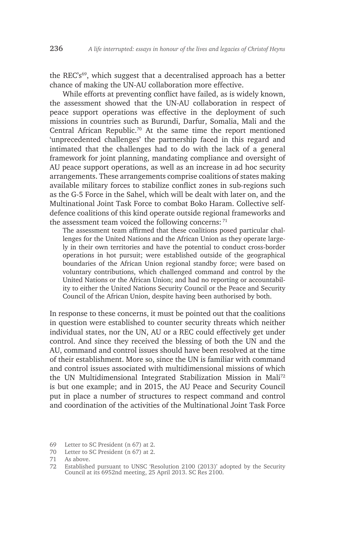the REC's69, which suggest that a decentralised approach has a better chance of making the UN-AU collaboration more effective.

While efforts at preventing conflict have failed, as is widely known, the assessment showed that the UN-AU collaboration in respect of peace support operations was effective in the deployment of such missions in countries such as Burundi, Darfur, Somalia, Mali and the Central African Republic.70 At the same time the report mentioned 'unprecedented challenges' the partnership faced in this regard and intimated that the challenges had to do with the lack of a general framework for joint planning, mandating compliance and oversight of AU peace support operations, as well as an increase in ad hoc security arrangements. These arrangements comprise coalitions of states making available military forces to stabilize conflict zones in sub-regions such as the G-5 Force in the Sahel, which will be dealt with later on, and the Multinational Joint Task Force to combat Boko Haram. Collective selfdefence coalitions of this kind operate outside regional frameworks and the assessment team voiced the following concerns: <sup>71</sup>

The assessment team affirmed that these coalitions posed particular challenges for the United Nations and the African Union as they operate largely in their own territories and have the potential to conduct cross-border operations in hot pursuit; were established outside of the geographical boundaries of the African Union regional standby force; were based on voluntary contributions, which challenged command and control by the United Nations or the African Union; and had no reporting or accountability to either the United Nations Security Council or the Peace and Security Council of the African Union, despite having been authorised by both.

In response to these concerns, it must be pointed out that the coalitions in question were established to counter security threats which neither individual states, nor the UN, AU or a REC could effectively get under control. And since they received the blessing of both the UN and the AU, command and control issues should have been resolved at the time of their establishment. More so, since the UN is familiar with command and control issues associated with multidimensional missions of which the UN Multidimensional Integrated Stabilization Mission in Mali72 is but one example; and in 2015, the AU Peace and Security Council put in place a number of structures to respect command and control and coordination of the activities of the Multinational Joint Task Force

<sup>69</sup> Letter to SC President (n 67) at 2.

<sup>70</sup> Letter to SC President (n 67) at 2.

<sup>71</sup> As above.

<sup>72</sup> Established pursuant to UNSC 'Resolution 2100 (2013)' adopted by the Security Council at its 6952nd meeting, 25 April 2013. SC Res 2100.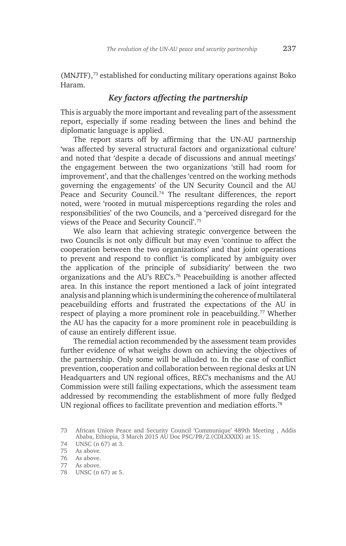(MNJTF),73 established for conducting military operations against Boko Haram.

#### *Key factors affecting the partnership*

This is arguably the more important and revealing part of the assessment report, especially if some reading between the lines and behind the diplomatic language is applied.

The report starts off by affirming that the UN-AU partnership 'was affected by several structural factors and organizational culture' and noted that 'despite a decade of discussions and annual meetings' the engagement between the two organizations 'still had room for improvement', and that the challenges 'centred on the working methods governing the engagements' of the UN Security Council and the AU Peace and Security Council.<sup>74</sup> The resultant differences, the report noted, were 'rooted in mutual misperceptions regarding the roles and responsibilities' of the two Councils, and a 'perceived disregard for the views of the Peace and Security Council'.75

We also learn that achieving strategic convergence between the two Councils is not only difficult but may even 'continue to affect the cooperation between the two organizations' and that joint operations to prevent and respond to conflict 'is complicated by ambiguity over the application of the principle of subsidiarity' between the two organizations and the AU's REC's.76 Peacebuilding is another affected area. In this instance the report mentioned a lack of joint integrated analysis and planning which is undermining the coherence of multilateral peacebuilding efforts and frustrated the expectations of the AU in respect of playing a more prominent role in peacebuilding.<sup>77</sup> Whether the AU has the capacity for a more prominent role in peacebuilding is of cause an entirely different issue.

The remedial action recommended by the assessment team provides further evidence of what weighs down on achieving the objectives of the partnership. Only some will be alluded to. In the case of conflict prevention, cooperation and collaboration between regional desks at UN Headquarters and UN regional offices, REC's mechanisms and the AU Commission were still failing expectations, which the assessment team addressed by recommending the establishment of more fully fledged UN regional offices to facilitate prevention and mediation efforts.78

74 UNSC (n 67) at 3.

<sup>73</sup> African Union Peace and Security Council 'Communique' 489th Meeting , Addis Ababa, Ethiopia, 3 March 2015 AU Doc PSC/PR/2.(CDLXXXIX) at 15.

<sup>75</sup> As above.

<sup>76</sup> As above.

<sup>77</sup> As above.

<sup>78</sup> UNSC (n 67) at 5.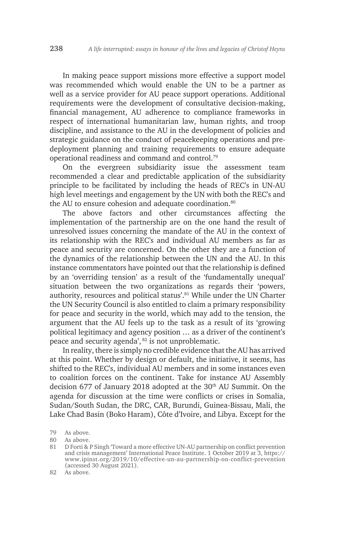In making peace support missions more effective a support model was recommended which would enable the UN to be a partner as well as a service provider for AU peace support operations. Additional requirements were the development of consultative decision-making, financial management, AU adherence to compliance frameworks in respect of international humanitarian law, human rights, and troop discipline, and assistance to the AU in the development of policies and strategic guidance on the conduct of peacekeeping operations and predeployment planning and training requirements to ensure adequate operational readiness and command and control.79

On the evergreen subsidiarity issue the assessment team recommended a clear and predictable application of the subsidiarity principle to be facilitated by including the heads of REC's in UN-AU high level meetings and engagement by the UN with both the REC's and the AU to ensure cohesion and adequate coordination.<sup>80</sup>

The above factors and other circumstances affecting the implementation of the partnership are on the one hand the result of unresolved issues concerning the mandate of the AU in the context of its relationship with the REC's and individual AU members as far as peace and security are concerned. On the other they are a function of the dynamics of the relationship between the UN and the AU. In this instance commentators have pointed out that the relationship is defined by an 'overriding tension' as a result of the 'fundamentally unequal' situation between the two organizations as regards their 'powers, authority, resources and political status'.<sup>81</sup> While under the UN Charter the UN Security Council is also entitled to claim a primary responsibility for peace and security in the world, which may add to the tension, the argument that the AU feels up to the task as a result of its 'growing political legitimacy and agency position … as a driver of the continent's peace and security agenda', 82 is not unproblematic.

In reality, there is simply no credible evidence that the AU has arrived at this point. Whether by design or default, the initiative, it seems, has shifted to the REC's, individual AU members and in some instances even to coalition forces on the continent. Take for instance AU Assembly decision 677 of January 2018 adopted at the 30<sup>th</sup> AU Summit. On the agenda for discussion at the time were conflicts or crises in Somalia, Sudan/South Sudan, the DRC, CAR, Burundi, Guinea-Bissau, Mali, the Lake Chad Basin (Boko Haram), Côte d'Ivoire, and Libya. Except for the

<sup>79</sup> As above.

<sup>80</sup> As above.

<sup>81</sup> D Forti & P Singh 'Toward a more effective UN-AU partnership on conflict prevention and crisis management' International Peace Institute. 1 October 2019 at 3, https:// www.ipinst.org/2019/10/effective-un-au-partnership-on-conflict-prevention (accessed 30 August 2021).

<sup>82</sup> As above.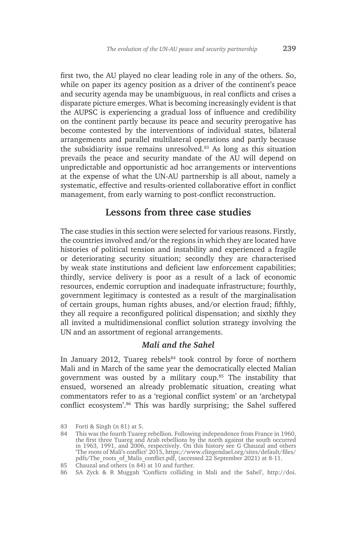first two, the AU played no clear leading role in any of the others. So, while on paper its agency position as a driver of the continent's peace and security agenda may be unambiguous, in real conflicts and crises a disparate picture emerges. What is becoming increasingly evident is that the AUPSC is experiencing a gradual loss of influence and credibility on the continent partly because its peace and security prerogative has become contested by the interventions of individual states, bilateral arrangements and parallel multilateral operations and partly because the subsidiarity issue remains unresolved.83 As long as this situation prevails the peace and security mandate of the AU will depend on unpredictable and opportunistic ad hoc arrangements or interventions at the expense of what the UN-AU partnership is all about, namely a systematic, effective and results-oriented collaborative effort in conflict management, from early warning to post-conflict reconstruction.

## **Lessons from three case studies**

The case studies in this section were selected for various reasons. Firstly, the countries involved and/or the regions in which they are located have histories of political tension and instability and experienced a fragile or deteriorating security situation; secondly they are characterised by weak state institutions and deficient law enforcement capabilities; thirdly, service delivery is poor as a result of a lack of economic resources, endemic corruption and inadequate infrastructure; fourthly, government legitimacy is contested as a result of the marginalisation of certain groups, human rights abuses, and/or election fraud; fifthly, they all require a reconfigured political dispensation; and sixthly they all invited a multidimensional conflict solution strategy involving the UN and an assortment of regional arrangements.

#### *Mali and the Sahel*

In January 2012, Tuareg rebels $84$  took control by force of northern Mali and in March of the same year the democratically elected Malian government was ousted by a military coup.<sup>85</sup> The instability that ensued, worsened an already problematic situation, creating what commentators refer to as a 'regional conflict system' or an 'archetypal conflict ecosystem'.86 This was hardly surprising; the Sahel suffered

<sup>83</sup> Forti & Singh (n 81) at 5.

<sup>84</sup> This was the fourth Tuareg rebellion. Following independence from France in 1960, the first three Tuareg and Arab rebellions by the north against the south occurred in 1963, 1991, and 2006, respectively. On this history see G Chauzal and others 'The roots of Mali's conflict' 2015, https://www.clingendael.org/sites/default/files/ pdfs/The\_roots\_of\_Malis\_conflict.pdf, (accessed 22 September 2021) at 8-11.

<sup>85</sup> Chauzal and others (n 84) at 10 and further.

<sup>86</sup> SA Zyck & R Muggah 'Conflicts colliding in Mali and the Sahel', http://doi.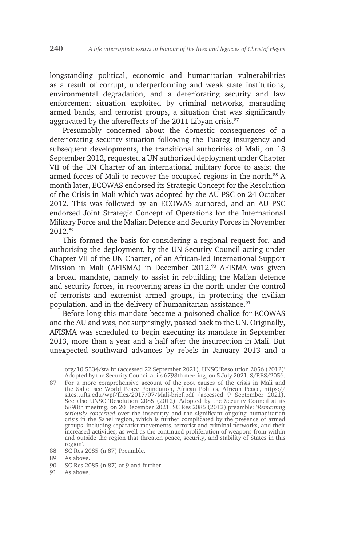longstanding political, economic and humanitarian vulnerabilities as a result of corrupt, underperforming and weak state institutions, environmental degradation, and a deteriorating security and law enforcement situation exploited by criminal networks, marauding armed bands, and terrorist groups, a situation that was significantly aggravated by the aftereffects of the 2011 Libyan crisis.<sup>87</sup>

Presumably concerned about the domestic consequences of a deteriorating security situation following the Tuareg insurgency and subsequent developments, the transitional authorities of Mali, on 18 September 2012, requested a UN authorized deployment under Chapter VII of the UN Charter of an international military force to assist the armed forces of Mali to recover the occupied regions in the north.<sup>88</sup> A month later, ECOWAS endorsed its Strategic Concept for the Resolution of the Crisis in Mali which was adopted by the AU PSC on 24 October 2012. This was followed by an ECOWAS authored, and an AU PSC endorsed Joint Strategic Concept of Operations for the International Military Force and the Malian Defence and Security Forces in November 2012.89

This formed the basis for considering a regional request for, and authorising the deployment, by the UN Security Council acting under Chapter VII of the UN Charter, of an African-led International Support Mission in Mali (AFISMA) in December 2012.<sup>90</sup> AFISMA was given a broad mandate, namely to assist in rebuilding the Malian defence and security forces, in recovering areas in the north under the control of terrorists and extremist armed groups, in protecting the civilian population, and in the delivery of humanitarian assistance.<sup>91</sup>

Before long this mandate became a poisoned chalice for ECOWAS and the AU and was, not surprisingly, passed back to the UN. Originally, AFISMA was scheduled to begin executing its mandate in September 2013, more than a year and a half after the insurrection in Mali. But unexpected southward advances by rebels in January 2013 and a

org/10.5334/sta.bf (accessed 22 September 2021). UNSC 'Resolution 2056 (2012)' Adopted by the Security Council at its 6798th meeting, on 5 July 2021. S/RES/2056.

- 87 For a more comprehensive account of the root causes of the crisis in Mali and the Sahel see World Peace Foundation, African Politics, African Peace, https:// sites.tufts.edu/wpf/files/2017/07/Mali-brief.pdf (accessed 9 September 2021). See also UNSC 'Resolution 2085 (2012)' Adopted by the Security Council at its 6898th meeting, on 20 December 2021. SC Res 2085 (2012) preamble: '*Remaining seriously concerned* over the insecurity and the significant ongoing humanitarian crisis in the Sahel region, which is further complicated by the presence of armed groups, including separatist movements, terrorist and criminal networks, and their increased activities, as well as the continued proliferation of weapons from within and outside the region that threaten peace, security, and stability of States in this region'.
- 88 SC Res 2085 (n 87) Preamble.

- 90 SC Res 2085 (n 87) at 9 and further.
- 91 As above.

<sup>89</sup> As above.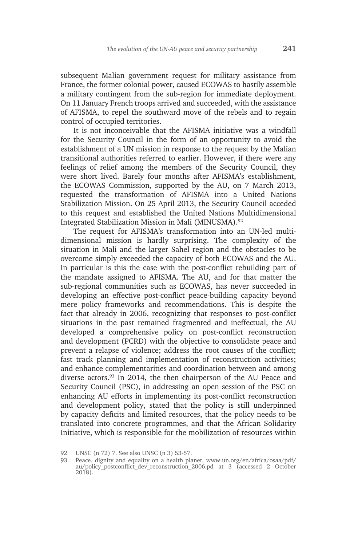subsequent Malian government request for military assistance from France, the former colonial power, caused ECOWAS to hastily assemble a military contingent from the sub-region for immediate deployment. On 11 January French troops arrived and succeeded, with the assistance of AFISMA, to repel the southward move of the rebels and to regain control of occupied territories.

It is not inconceivable that the AFISMA initiative was a windfall for the Security Council in the form of an opportunity to avoid the establishment of a UN mission in response to the request by the Malian transitional authorities referred to earlier. However, if there were any feelings of relief among the members of the Security Council, they were short lived. Barely four months after AFISMA's establishment, the ECOWAS Commission, supported by the AU, on 7 March 2013, requested the transformation of AFISMA into a United Nations Stabilization Mission. On 25 April 2013, the Security Council acceded to this request and established the United Nations Multidimensional Integrated Stabilization Mission in Mali (MINUSMA).92

The request for AFISMA's transformation into an UN-led multidimensional mission is hardly surprising. The complexity of the situation in Mali and the larger Sahel region and the obstacles to be overcome simply exceeded the capacity of both ECOWAS and the AU. In particular is this the case with the post-conflict rebuilding part of the mandate assigned to AFISMA. The AU, and for that matter the sub-regional communities such as ECOWAS, has never succeeded in developing an effective post-conflict peace-building capacity beyond mere policy frameworks and recommendations. This is despite the fact that already in 2006, recognizing that responses to post-conflict situations in the past remained fragmented and ineffectual, the AU developed a comprehensive policy on post-conflict reconstruction and development (PCRD) with the objective to consolidate peace and prevent a relapse of violence; address the root causes of the conflict; fast track planning and implementation of reconstruction activities; and enhance complementarities and coordination between and among diverse actors.<sup>93</sup> In 2014, the then chairperson of the AU Peace and Security Council (PSC), in addressing an open session of the PSC on enhancing AU efforts in implementing its post-conflict reconstruction and development policy, stated that the policy is still underpinned by capacity deficits and limited resources, that the policy needs to be translated into concrete programmes, and that the African Solidarity Initiative, which is responsible for the mobilization of resources within

<sup>92</sup> UNSC (n 72) 7. See also UNSC (n 3) 53-57.

<sup>93</sup> Peace, dignity and equality on a health planet, www.un.org/en/africa/osaa/pdf/ au/policy\_postconflict\_dev\_reconstruction\_2006.pd at 3 (accessed 2 October 2018).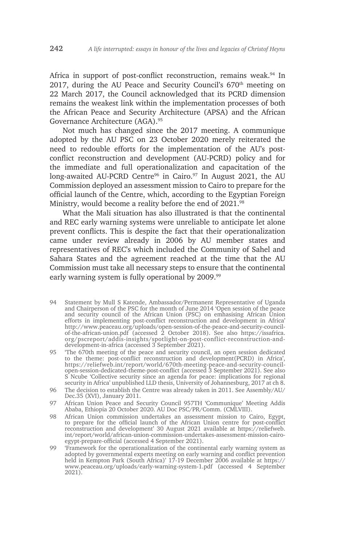Africa in support of post-conflict reconstruction, remains weak.<sup>94</sup> In 2017, during the AU Peace and Security Council's  $670<sup>th</sup>$  meeting on 22 March 2017, the Council acknowledged that its PCRD dimension remains the weakest link within the implementation processes of both the African Peace and Security Architecture (APSA) and the African Governance Architecture (AGA).<sup>95</sup>

Not much has changed since the 2017 meeting. A communique adopted by the AU PSC on 23 October 2020 merely reiterated the need to redouble efforts for the implementation of the AU's postconflict reconstruction and development (AU-PCRD) policy and for the immediate and full operationalization and capacitation of the long-awaited AU-PCRD Centre<sup>96</sup> in Cairo.<sup>97</sup> In August 2021, the AU Commission deployed an assessment mission to Cairo to prepare for the official launch of the Centre, which, according to the Egyptian Foreign Ministry, would become a reality before the end of 2021.98

What the Mali situation has also illustrated is that the continental and REC early warning systems were unreliable to anticipate let alone prevent conflicts. This is despite the fact that their operationalization came under review already in 2006 by AU member states and representatives of REC's which included the Community of Sahel and Sahara States and the agreement reached at the time that the AU Commission must take all necessary steps to ensure that the continental early warning system is fully operational by 2009.<sup>99</sup>

- 94 Statement by Mull S Katende, Ambassador/Permanent Representative of Uganda and Chairperson of the PSC for the month of June 2014 'Open session of the peace and security council of the African Union (PSC) on emhasising African Union efforts in implementing post-conflict reconstruction and development in Africa' http://www.peaceau.org/uploads/open-session-of-the-peace-and-security-councilof-the-african-union.pdf (accessed 2 October 2018). See also https://issafrica. org/pscreport/addis-insights/spotlight-on-post-conflict-reconstruction-anddevelopment-in-africa (accessed 3 September 2021).
- 95 'The 670th meeting of the peace and security council, an open session dedicated to the theme: post-conflict reconstruction and development(PCRD) in Africa', https://reliefweb.int/report/world/670th-meeting-peace-and-security-councilopen-session-dedicated-theme-post-conflict (accessed 3 September 2021). See also S Ncube 'Collective security since an agenda for peace: implications for regional security in Africa' unpublished LLD thesis, University of Johannesburg, 2017 at ch 8.
- 96 The decision to establish the Centre was already taken in 2011. See Assembly/AU/ Dec.35 (XVI), January 2011.
- 97 African Union Peace and Security Council 957TH 'Communique' Meeting Addis Ababa, Ethiopia 20 October 2020. AU Doc PSC/PR/Comm. (CMLVIII).
- 98 African Union commission undertakes an assessment mission to Cairo, Egypt, to prepare for the official launch of the African Union centre for post-conflict reconstruction and development' 30 August 2021 available at https://reliefweb. int/report/world/african-union-commission-undertakes-assessment-mission-cairoegypt-prepare-official (accessed 4 September 2021).
- 99 'Framework for the operationalization of the continental early warning system as adopted by governmental experts meeting on early warning and conflict prevention held in Kempton Park (South Africa)' 17-19 December 2006 available at https:// www.peaceau.org/uploads/early-warning-system-1.pdf (accessed 4 September 2021).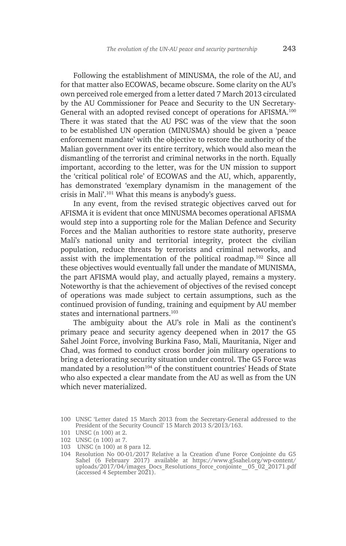Following the establishment of MINUSMA, the role of the AU, and for that matter also ECOWAS, became obscure. Some clarity on the AU's own perceived role emerged from a letter dated 7 March 2013 circulated by the AU Commissioner for Peace and Security to the UN Secretary-General with an adopted revised concept of operations for AFISMA.<sup>100</sup> There it was stated that the AU PSC was of the view that the soon to be established UN operation (MINUSMA) should be given a 'peace enforcement mandate' with the objective to restore the authority of the Malian government over its entire territory, which would also mean the dismantling of the terrorist and criminal networks in the north. Equally important, according to the letter, was for the UN mission to support the 'critical political role' of ECOWAS and the AU, which, apparently, has demonstrated 'exemplary dynamism in the management of the crisis in Mali'.101 What this means is anybody's guess.

In any event, from the revised strategic objectives carved out for AFISMA it is evident that once MINUSMA becomes operational AFISMA would step into a supporting role for the Malian Defence and Security Forces and the Malian authorities to restore state authority, preserve Mali's national unity and territorial integrity, protect the civilian population, reduce threats by terrorists and criminal networks, and assist with the implementation of the political roadmap.102 Since all these objectives would eventually fall under the mandate of MUNISMA, the part AFISMA would play, and actually played, remains a mystery. Noteworthy is that the achievement of objectives of the revised concept of operations was made subject to certain assumptions, such as the continued provision of funding, training and equipment by AU member states and international partners.<sup>103</sup>

The ambiguity about the AU's role in Mali as the continent's primary peace and security agency deepened when in 2017 the G5 Sahel Joint Force, involving Burkina Faso, Mali, Mauritania, Niger and Chad, was formed to conduct cross border join military operations to bring a deteriorating security situation under control. The G5 Force was mandated by a resolution<sup>104</sup> of the constituent countries' Heads of State who also expected a clear mandate from the AU as well as from the UN which never materialized.

<sup>100</sup> UNSC 'Letter dated 15 March 2013 from the Secretary-General addressed to the President of the Security Council' 15 March 2013 S/2013/163.

<sup>101</sup> UNSC (n 100) at 2.

<sup>102</sup> UNSC (n 100) at 7.

<sup>103</sup> UNSC (n 100) at 8 para 12.

<sup>104</sup> Resolution No 00-01/2017 Relative a la Creation d'une Force Conjointe du G5 Sahel (6 February 2017) available at https://www.g5sahel.org/wp-content/ uploads/2017/04/images\_Docs\_Resolutions\_force\_conjointe\_\_05\_02\_20171.pdf  $(\text{accessed } 4 \text{ September } 2021).$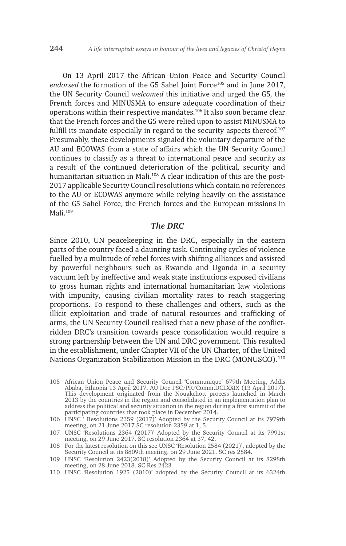On 13 April 2017 the African Union Peace and Security Council endorsed the formation of the G5 Sahel Joint Force<sup>105</sup> and in June 2017, the UN Security Council *welcomed* this initiative and urged the G5, the French forces and MINUSMA to ensure adequate coordination of their operations within their respective mandates.<sup>106</sup> It also soon became clear that the French forces and the G5 were relied upon to assist MINUSMA to fulfill its mandate especially in regard to the security aspects thereof.<sup>107</sup> Presumably, these developments signaled the voluntary departure of the AU and ECOWAS from a state of affairs which the UN Security Council continues to classify as a threat to international peace and security as a result of the continued deterioration of the political, security and humanitarian situation in Mali.<sup>108</sup> A clear indication of this are the post-2017 applicable Security Council resolutions which contain no references to the AU or ECOWAS anymore while relying heavily on the assistance of the G5 Sahel Force, the French forces and the European missions in Mali.<sup>109</sup>

#### *The DRC*

Since 2010, UN peacekeeping in the DRC, especially in the eastern parts of the country faced a daunting task. Continuing cycles of violence fuelled by a multitude of rebel forces with shifting alliances and assisted by powerful neighbours such as Rwanda and Uganda in a security vacuum left by ineffective and weak state institutions exposed civilians to gross human rights and international humanitarian law violations with impunity, causing civilian mortality rates to reach staggering proportions. To respond to these challenges and others, such as the illicit exploitation and trade of natural resources and trafficking of arms, the UN Security Council realised that a new phase of the conflictridden DRC's transition towards peace consolidation would require a strong partnership between the UN and DRC government. This resulted in the establishment, under Chapter VII of the UN Charter, of the United Nations Organization Stabilization Mission in the DRC (MONUSCO).<sup>110</sup>

105 African Union Peace and Security Council 'Communique' 679th Meeting, Addis Ababa, Ethiopia 13 April 2017. AU Doc PSC/PR/Comm.DCLXXIX (13 April 2017). This development originated from the Nouakchott process launched in March 2013 by the countries in the region and consolidated in an implementation plan to address the political and security situation in the region during a first summit of the participating countries that took place in December 2014.

106 UNSC ' Resolutions 2359 (2017)' Adopted by the Security Council at its 7979th meeting, on 21 June 2017 SC resolution 2359 at 1, 5.

108 For the latest resolution on this see UNSC 'Resolution 2584 (2021)', adopted by the Security Council at its 8809th meeting, on 29 June 2021. SC res 2584.

110 UNSC 'Resolution 1925 (2010)' adopted by the Security Council at its 6324th

<sup>107</sup> UNSC 'Resolutions 2364 (2017)' Adopted by the Security Council at its 7991st meeting, on 29 June 2017. SC resolution 2364 at 37, 42.

<sup>109</sup> UNSC 'Resolution 2423(2018)' Adopted by the Security Council at its 8298th meeting, on 28 June 2018. SC Res 2423 .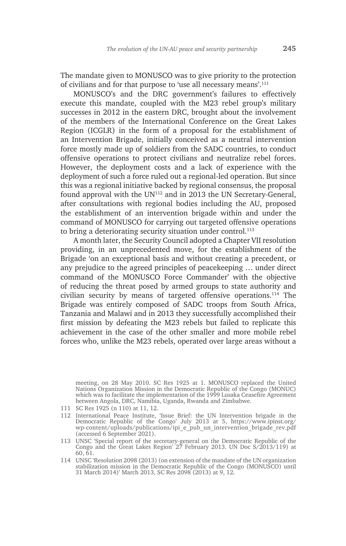The mandate given to MONUSCO was to give priority to the protection of civilians and for that purpose to 'use all necessary means'.<sup>111</sup>

MONUSCO's and the DRC government's failures to effectively execute this mandate, coupled with the M23 rebel group's military successes in 2012 in the eastern DRC, brought about the involvement of the members of the International Conference on the Great Lakes Region (ICGLR) in the form of a proposal for the establishment of an Intervention Brigade, initially conceived as a neutral intervention force mostly made up of soldiers from the SADC countries, to conduct offensive operations to protect civilians and neutralize rebel forces. However, the deployment costs and a lack of experience with the deployment of such a force ruled out a regional-led operation. But since this was a regional initiative backed by regional consensus, the proposal found approval with the  $UN^{112}$  and in 2013 the UN Secretary-General, after consultations with regional bodies including the AU, proposed the establishment of an intervention brigade within and under the command of MONUSCO for carrying out targeted offensive operations to bring a deteriorating security situation under control. $113$ 

A month later, the Security Council adopted a Chapter VII resolution providing, in an unprecedented move, for the establishment of the Brigade 'on an exceptional basis and without creating a precedent, or any prejudice to the agreed principles of peacekeeping … under direct command of the MONUSCO Force Commander' with the objective of reducing the threat posed by armed groups to state authority and civilian security by means of targeted offensive operations.114 The Brigade was entirely composed of SADC troops from South Africa, Tanzania and Malawi and in 2013 they successfully accomplished their first mission by defeating the M23 rebels but failed to replicate this achievement in the case of the other smaller and more mobile rebel forces who, unlike the M23 rebels, operated over large areas without a

meeting, on 28 May 2010. SC Res 1925 at 1. MONUSCO replaced the United Nations Organization Mission in the Democratic Republic of the Congo (MONUC) which was to facilitate the implementation of the 1999 Lusaka Ceasefire Agreement between Angola, DRC, Namibia, Uganda, Rwanda and Zimbabwe.

<sup>111</sup> SC Res 1925 (n 110) at 11, 12.

<sup>112</sup> International Peace Institute, 'Issue Brief: the UN Intervention brigade in the Democratic Republic of the Congo' July 2013 at 5, https://www.ipinst.org/ wp-content/uploads/publications/ipi\_e\_pub\_un\_intervention\_brigade\_rev.pdf (accessed 6 September 2021).

<sup>113</sup> UNSC 'Special report of the secretary-general on the Democratic Republic of the Congo and the Great Lakes Region' 27 February 2013. UN Doc S/2013/119) at 60, 61.

<sup>114</sup> UNSC 'Resolution 2098 (2013) (on extension of the mandate of the UN organization stabilization mission in the Democratic Republic of the Congo (MONUSCO) until 31 March 2014)' March 2013, SC Res 2098 (2013) at 9, 12.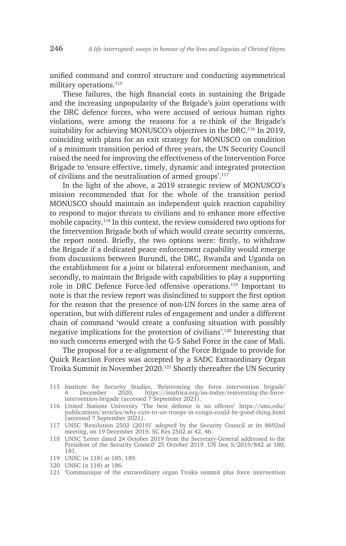unified command and control structure and conducting asymmetrical military operations.<sup>115</sup>

These failures, the high financial costs in sustaining the Brigade and the increasing unpopularity of the Brigade's joint operations with the DRC defence forces, who were accused of serious human rights violations, were among the reasons for a re-think of the Brigade's suitability for achieving MONUSCO's objectives in the DRC.<sup>116</sup> In 2019, coinciding with plans for an exit strategy for MONUSCO on condition of a minimum transition period of three years, the UN Security Council raised the need for improving the effectiveness of the Intervention Force Brigade to 'ensure effective, timely, dynamic and integrated protection of civilians and the neutralisation of armed groups'.117

In the light of the above, a 2019 strategic review of MONUSCO's mission recommended that for the whole of the transition period MONUSCO should maintain an independent quick reaction capability to respond to major threats to civilians and to enhance more effective mobile capacity.118 In this context, the review considered two options for the Intervention Brigade both of which would create security concerns, the report noted. Briefly, the two options were: firstly, to withdraw the Brigade if a dedicated peace enforcement capability would emerge from discussions between Burundi, the DRC, Rwanda and Uganda on the establishment for a joint or bilateral enforcement mechanism, and secondly, to maintain the Brigade with capabilities to play a supporting role in DRC Defence Force-led offensive operations.119 Important to note is that the review report was disinclined to support the first option for the reason that the presence of non-UN forces in the same area of operation, but with different rules of engagement and under a different chain of command 'would create a confusing situation with possibly negative implications for the protection of civilians'.120 Interesting that no such concerns emerged with the G-5 Sahel Force in the case of Mali.

The proposal for a re-alignment of the Force Brigade to provide for Quick Reaction Forces was accepted by a SADC Extraordinary Organ Troika Summit in November 2020.121 Shortly thereafter the UN Security

115 Institute for Security Studies, 'Reinventing the force intervention brigade' 4 December 2020, https://issafrica.org/iss-today/reinventing-the-forceintervention-brigade (accessed 7 September 2021).

- 118 UNSC 'Letter dated 24 October 2019 from the Secretary-General addressed to the President of the Security Council' 25 October 2019. UN Doc S/2019/842 at 180, 181.
- 119 UNSC (n 118) at 185, 189.
- 120 UNSC (n 118) at 186.

<sup>116</sup> United Nations University 'The best defence is no offence' https://unu.edu/ publications/articles/why-cuts-to-un-troops-in-congo-could-be-good-thing.html (accessed 7 September 2021).

<sup>117</sup> UNSC 'Resolution 2502 (2019)' adopted by the Security Council at its 8692nd meeting, on 19 December 2019. SC Res 2502 at 42, 46.

<sup>121</sup> 'Communique of the extraordinary organ Troika summit plus force intervention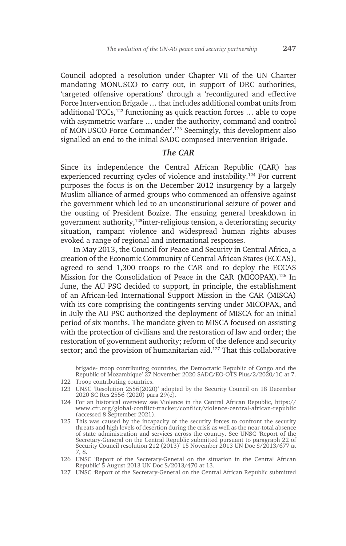Council adopted a resolution under Chapter VII of the UN Charter mandating MONUSCO to carry out, in support of DRC authorities, 'targeted offensive operations' through a 'reconfigured and effective Force Intervention Brigade … that includes additional combat units from additional TCCs,<sup>122</sup> functioning as quick reaction forces  $\ldots$  able to cope with asymmetric warfare … under the authority, command and control of MONUSCO Force Commander'.123 Seemingly, this development also signalled an end to the initial SADC composed Intervention Brigade.

#### *The CAR*

Since its independence the Central African Republic (CAR) has experienced recurring cycles of violence and instability.124 For current purposes the focus is on the December 2012 insurgency by a largely Muslim alliance of armed groups who commenced an offensive against the government which led to an unconstitutional seizure of power and the ousting of President Bozize. The ensuing general breakdown in government authority,125inter-religious tension, a deteriorating security situation, rampant violence and widespread human rights abuses evoked a range of regional and international responses.

In May 2013, the Council for Peace and Security in Central Africa, a creation of the Economic Community of Central African States (ECCAS), agreed to send 1,300 troops to the CAR and to deploy the ECCAS Mission for the Consolidation of Peace in the CAR (MICOPAX).126 In June, the AU PSC decided to support, in principle, the establishment of an African-led International Support Mission in the CAR (MISCA) with its core comprising the contingents serving under MICOPAX, and in July the AU PSC authorized the deployment of MISCA for an initial period of six months. The mandate given to MISCA focused on assisting with the protection of civilians and the restoration of law and order; the restoration of government authority; reform of the defence and security sector; and the provision of humanitarian aid.<sup>127</sup> That this collaborative

brigade- troop contributing countries, the Democratic Republic of Congo and the Republic of Mozambique' 27 November 2020 SADC/EO-OTS Plus/2/2020/1C at 7. 122 Troop contributing countries.

- 123 UNSC 'Resolution 2556(2020)' adopted by the Security Council on 18 December 2020 SC Res 2556 (2020) para 29(e).
- 124 For an historical overview see Violence in the Central African Republic, https:// www.cfr.org/global-conflict-tracker/conflict/violence-central-african-republic (accessed 8 September 2021).
- 125 This was caused by the incapacity of the security forces to confront the security threats and high levels of desertion during the crisis as well as the near-total absence of state administration and services across the country. See UNSC 'Report of the Secretary-General on the Central Republic submitted pursuant to paragraph 22 of Security Council resolution 212 (2013)' 15 November 2013 UN Doc S/2013/677 at 7, 8.
- 126 UNSC 'Report of the Secretary-General on the situation in the Central African Republic' 5 August 2013 UN Doc S/2013/470 at 13.
- 127 UNSC 'Report of the Secretary-General on the Central African Republic submitted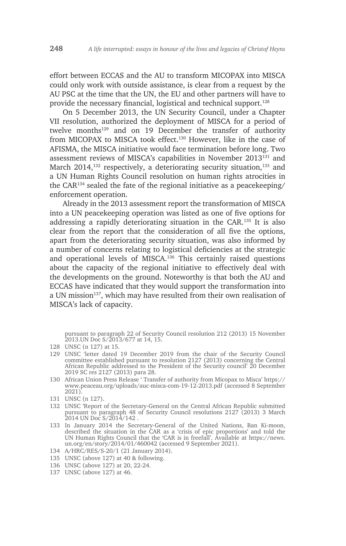effort between ECCAS and the AU to transform MICOPAX into MISCA could only work with outside assistance, is clear from a request by the AU PSC at the time that the UN, the EU and other partners will have to provide the necessary financial, logistical and technical support.<sup>128</sup>

On 5 December 2013, the UN Security Council, under a Chapter VII resolution, authorized the deployment of MISCA for a period of twelve months<sup>129</sup> and on 19 December the transfer of authority from MICOPAX to MISCA took effect.130 However, like in the case of AFISMA, the MISCA initiative would face termination before long. Two assessment reviews of MISCA's capabilities in November 2013131 and March 2014,<sup>132</sup> respectively, a deteriorating security situation,<sup>133</sup> and a UN Human Rights Council resolution on human rights atrocities in the CAR134 sealed the fate of the regional initiative as a peacekeeping/ enforcement operation.

Already in the 2013 assessment report the transformation of MISCA into a UN peacekeeping operation was listed as one of five options for addressing a rapidly deteriorating situation in the CAR.135 It is also clear from the report that the consideration of all five the options, apart from the deteriorating security situation, was also informed by a number of concerns relating to logistical deficiencies at the strategic and operational levels of MISCA.136 This certainly raised questions about the capacity of the regional initiative to effectively deal with the developments on the ground. Noteworthy is that both the AU and ECCAS have indicated that they would support the transformation into a UN mission<sup>137</sup>, which may have resulted from their own realisation of MISCA's lack of capacity.

pursuant to paragraph 22 of Security Council resolution 212 (2013) 15 November 2013.UN Doc S/2013/677 at 14, 15.

- 129 UNSC 'letter dated 19 December 2019 from the chair of the Security Council committee established pursuant to resolution 2127 (2013) concerning the Central African Republic addressed to the President of the Security council' 20 December 2019 SC res 2127 (2013) para 28.
- 130 African Union Press Release ' Transfer of authority from Micopax to Misca' https:// www.peaceau.org/uploads/auc-misca-com-19-12-2013.pdf (accessed 8 September 2021).

- 132 UNSC 'Report of the Secretary-General on the Central African Republic submitted pursuant to paragraph 48 of Security Council resolutions 2127 (2013) 3 March 2014 UN Doc S/2014/142 .
- 133 In January 2014 the Secretary-General of the United Nations, Ban Ki-moon, described the situation in the CAR as a 'crisis of epic proportions' and told the UN Human Rights Council that the 'CAR is in freefall'. Available at https://news. un.org/en/story/2014/01/460042 (accessed 9 September 2021).
- 134 A/HRC/RES/S-20/1 (21 January 2014).
- 135 UNSC (above 127) at 40 & following.
- 136 UNSC (above 127) at 20, 22-24.
- 137 UNSC (above 127) at 46.

<sup>128</sup> UNSC (n 127) at 15.

<sup>131</sup> UNSC (n 127).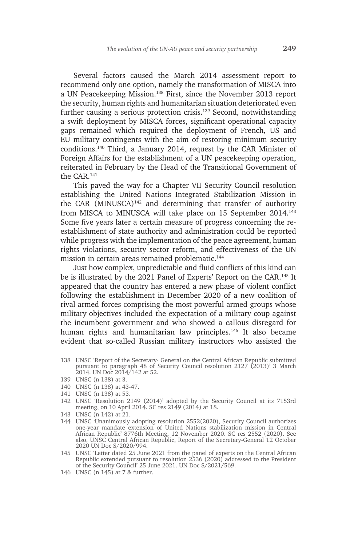Several factors caused the March 2014 assessment report to recommend only one option, namely the transformation of MISCA into a UN Peacekeeping Mission.138 First, since the November 2013 report the security, human rights and humanitarian situation deteriorated even further causing a serious protection crisis.139 Second, notwithstanding a swift deployment by MISCA forces, significant operational capacity gaps remained which required the deployment of French, US and EU military contingents with the aim of restoring minimum security conditions.140 Third, a January 2014, request by the CAR Minister of Foreign Affairs for the establishment of a UN peacekeeping operation, reiterated in February by the Head of the Transitional Government of the CAR.<sup>141</sup>

This paved the way for a Chapter VII Security Council resolution establishing the United Nations Integrated Stabilization Mission in the CAR (MINUSCA) $142$  and determining that transfer of authority from MISCA to MINUSCA will take place on 15 September 2014.<sup>143</sup> Some five years later a certain measure of progress concerning the reestablishment of state authority and administration could be reported while progress with the implementation of the peace agreement, human rights violations, security sector reform, and effectiveness of the UN mission in certain areas remained problematic.<sup>144</sup>

Just how complex, unpredictable and fluid conflicts of this kind can be is illustrated by the 2021 Panel of Experts' Report on the CAR.145 It appeared that the country has entered a new phase of violent conflict following the establishment in December 2020 of a new coalition of rival armed forces comprising the most powerful armed groups whose military objectives included the expectation of a military coup against the incumbent government and who showed a callous disregard for human rights and humanitarian law principles.<sup>146</sup> It also became evident that so-called Russian military instructors who assisted the

- 138 UNSC 'Report of the Secretary- General on the Central African Republic submitted pursuant to paragraph 48 of Security Council resolution 2127 (2013)' 3 March 2014. UN Doc 2014/142 at 52.
- 139 UNSC (n 138) at 3.
- 140 UNSC (n 138) at 43-47.
- 141 UNSC (n 138) at 53.
- 142 UNSC 'Resolution 2149 (2014)' adopted by the Security Council at its 7153rd meeting, on 10 April 2014. SC res 2149 (2014) at 18.
- 143 UNSC (n 142) at 21.
- 144 UNSC 'Unanimously adopting resolution 2552(2020), Security Council authorizes one-year mandate extension of United Nations stabilization mission in Central African Republic' 8776th Meeting, 12 November 2020. SC res 2552 (2020). See also, UNSC Central African Republic, Report of the Secretary-General 12 October 2020 UN Doc S/2020/994.
- 145 UNSC 'Letter dated 25 June 2021 from the panel of experts on the Central African Republic extended pursuant to resolution 2536 (2020) addressed to the President of the Security Council' 25 June 2021. UN Doc S/2021/569.
- 146 UNSC (n 145) at 7 & further.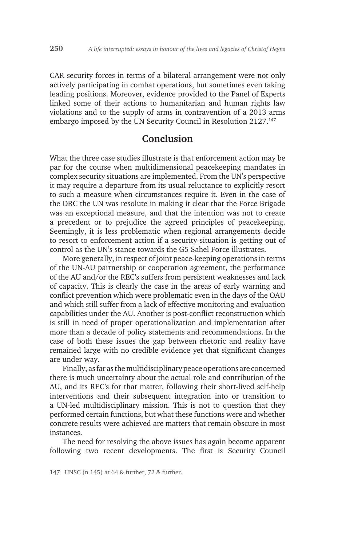CAR security forces in terms of a bilateral arrangement were not only actively participating in combat operations, but sometimes even taking leading positions. Moreover, evidence provided to the Panel of Experts linked some of their actions to humanitarian and human rights law violations and to the supply of arms in contravention of a 2013 arms embargo imposed by the UN Security Council in Resolution 2127.<sup>147</sup>

## **Conclusion**

What the three case studies illustrate is that enforcement action may be par for the course when multidimensional peacekeeping mandates in complex security situations are implemented. From the UN's perspective it may require a departure from its usual reluctance to explicitly resort to such a measure when circumstances require it. Even in the case of the DRC the UN was resolute in making it clear that the Force Brigade was an exceptional measure, and that the intention was not to create a precedent or to prejudice the agreed principles of peacekeeping. Seemingly, it is less problematic when regional arrangements decide to resort to enforcement action if a security situation is getting out of control as the UN's stance towards the G5 Sahel Force illustrates.

More generally, in respect of joint peace-keeping operations in terms of the UN-AU partnership or cooperation agreement, the performance of the AU and/or the REC's suffers from persistent weaknesses and lack of capacity. This is clearly the case in the areas of early warning and conflict prevention which were problematic even in the days of the OAU and which still suffer from a lack of effective monitoring and evaluation capabilities under the AU. Another is post-conflict reconstruction which is still in need of proper operationalization and implementation after more than a decade of policy statements and recommendations. In the case of both these issues the gap between rhetoric and reality have remained large with no credible evidence yet that significant changes are under way.

Finally, as far as the multidisciplinary peace operations are concerned there is much uncertainty about the actual role and contribution of the AU, and its REC's for that matter, following their short-lived self-help interventions and their subsequent integration into or transition to a UN-led multidisciplinary mission. This is not to question that they performed certain functions, but what these functions were and whether concrete results were achieved are matters that remain obscure in most instances.

The need for resolving the above issues has again become apparent following two recent developments. The first is Security Council